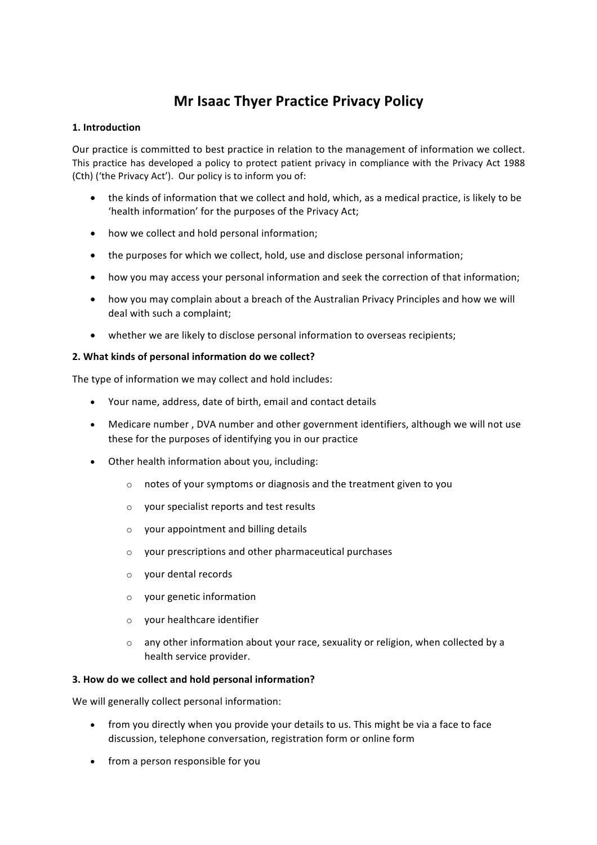# **Mr Isaac Thyer Practice Privacy Policy**

### **1. Introduction**

Our practice is committed to best practice in relation to the management of information we collect. This practice has developed a policy to protect patient privacy in compliance with the Privacy Act 1988 (Cth) ('the Privacy Act'). Our policy is to inform you of:

- the kinds of information that we collect and hold, which, as a medical practice, is likely to be 'health information' for the purposes of the Privacy Act;
- how we collect and hold personal information;
- the purposes for which we collect, hold, use and disclose personal information;
- how you may access your personal information and seek the correction of that information;
- how you may complain about a breach of the Australian Privacy Principles and how we will deal with such a complaint;
- whether we are likely to disclose personal information to overseas recipients;

## 2. What kinds of personal information do we collect?

The type of information we may collect and hold includes:

- Your name, address, date of birth, email and contact details
- Medicare number, DVA number and other government identifiers, although we will not use these for the purposes of identifying you in our practice
- $\bullet$  Other health information about you, including:
	- $\circ$  notes of your symptoms or diagnosis and the treatment given to you
	- $\circ$  your specialist reports and test results
	- $\circ$  your appointment and billing details
	- $\circ$  your prescriptions and other pharmaceutical purchases
	- $\circ$  your dental records
	- $\circ$  vour genetic information
	- $\circ$  your healthcare identifier
	- $\circ$  any other information about your race, sexuality or religion, when collected by a health service provider.

#### **3. How do we collect and hold personal information?**

We will generally collect personal information:

- from you directly when you provide your details to us. This might be via a face to face discussion, telephone conversation, registration form or online form
- from a person responsible for you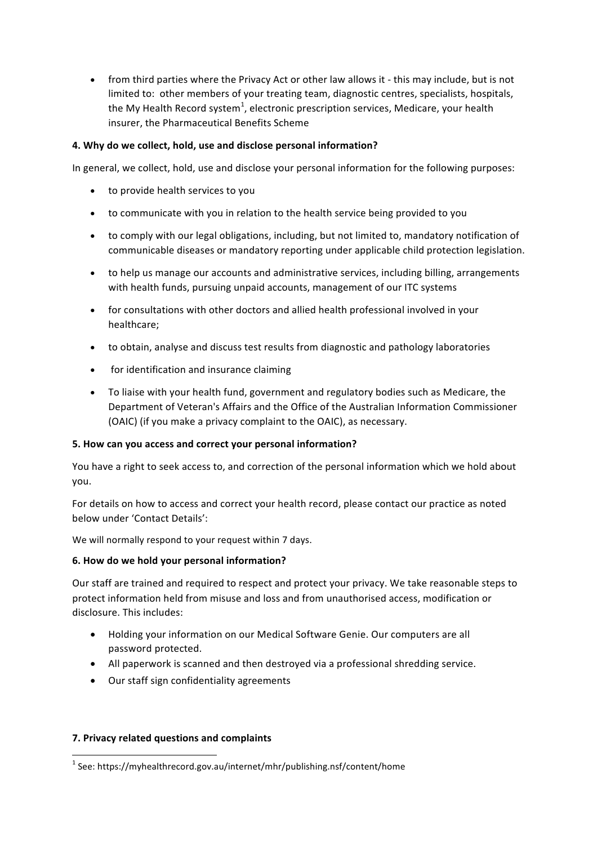• from third parties where the Privacy Act or other law allows it - this may include, but is not limited to: other members of your treating team, diagnostic centres, specialists, hospitals, the My Health Record system $^1$ , electronic prescription services, Medicare, your health insurer, the Pharmaceutical Benefits Scheme

# **4. Why do we collect, hold, use and disclose personal information?**

In general, we collect, hold, use and disclose your personal information for the following purposes:

- to provide health services to you
- to communicate with you in relation to the health service being provided to you
- to comply with our legal obligations, including, but not limited to, mandatory notification of communicable diseases or mandatory reporting under applicable child protection legislation.
- to help us manage our accounts and administrative services, including billing, arrangements with health funds, pursuing unpaid accounts, management of our ITC systems
- for consultations with other doctors and allied health professional involved in your healthcare;
- to obtain, analyse and discuss test results from diagnostic and pathology laboratories
- for identification and insurance claiming
- To liaise with your health fund, government and regulatory bodies such as Medicare, the Department of Veteran's Affairs and the Office of the Australian Information Commissioner (OAIC) (if you make a privacy complaint to the OAIC), as necessary.

#### **5. How can you access and correct your personal information?**

You have a right to seek access to, and correction of the personal information which we hold about you.

For details on how to access and correct your health record, please contact our practice as noted below under 'Contact Details':

We will normally respond to your request within 7 days.

#### **6. How do we hold your personal information?**

Our staff are trained and required to respect and protect your privacy. We take reasonable steps to protect information held from misuse and loss and from unauthorised access, modification or disclosure. This includes:

- Holding your information on our Medical Software Genie. Our computers are all password protected.
- All paperwork is scanned and then destroyed via a professional shredding service.
- Our staff sign confidentiality agreements

#### **7. Privacy related questions and complaints**

 $1$  See: https://myhealthrecord.gov.au/internet/mhr/publishing.nsf/content/home